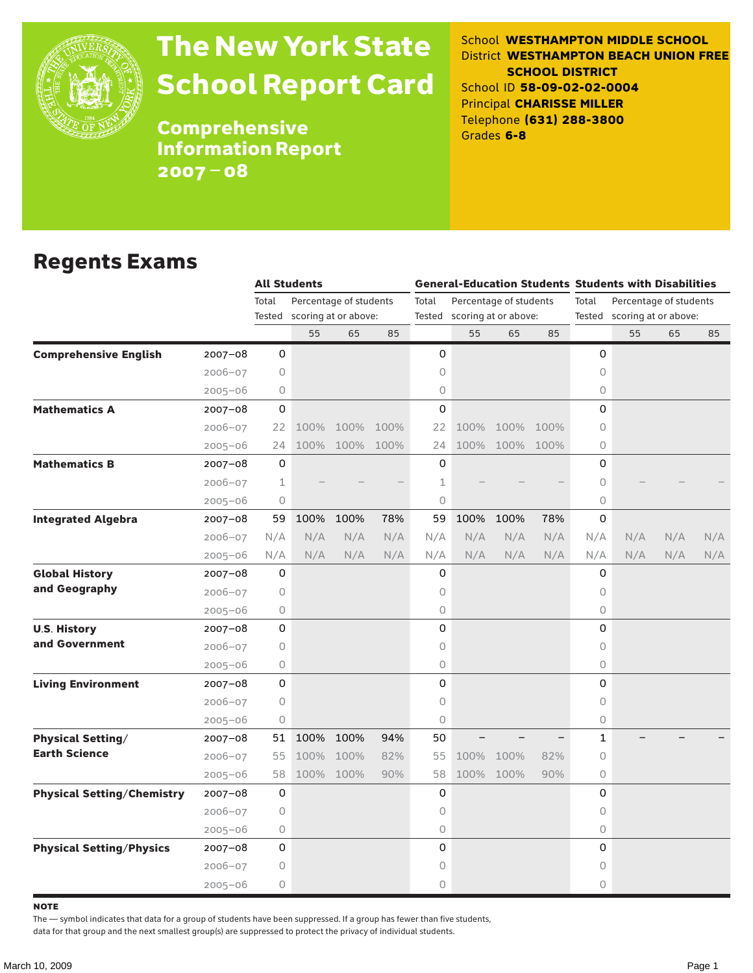

# The New York State School Report Card

School **WESTHAMPTON MIDDLE SCHOOL** District **WESTHAMPTON BEACH UNION FREE SCHOOL DISTRICT** School ID **58-09-02-02-0004** Principal **CHARISSE MILLER** Telephone **(631) 288-3800** Grades **6-8**

**Comprehensive** Information Report 2007–08

#### Regents Exams

| Total<br>Percentage of students<br>Total<br>Percentage of students<br>Total<br>Percentage of students<br>scoring at or above:<br>scoring at or above:<br>Tested scoring at or above:<br>Tested<br>Tested<br>55<br>85<br>55<br>85<br>65<br>65<br>55<br>65<br><b>Comprehensive English</b><br>0<br>0<br>0<br>$2007 - 08$<br>0<br>0<br>$2006 - 07$<br>0<br>$2005 - 06$<br>0<br>0<br>0<br>$\mathbf 0$<br>$\Omega$<br><b>Mathematics A</b><br>$\Omega$<br>$2007 - 08$<br>0<br>$2006 - 07$<br>100% 100% 100%<br>100%<br>100% 100%<br>22<br>22<br>100% 100% 100%<br>100% 100% 100%<br>0<br>$2005 - 06$<br>24<br>24<br><b>Mathematics B</b><br>0<br>0<br>0<br>$2007 - 08$<br>$\mathbf 1$<br>1<br>0<br>$2006 - 07$<br>$\circ$<br>0<br>0<br>$2005 - 06$<br>100%<br>100%<br>0<br>100%<br>100%<br>78%<br><b>Integrated Algebra</b><br>59<br>59<br>78%<br>$2007 - 08$<br>N/A<br>N/A<br>N/A<br>N/A<br>N/A<br>N/A<br>N/A<br>N/A<br>$2006 - 07$<br>N/A<br>N/A<br>N/A<br>N/A<br>N/A<br>N/A<br>N/A<br>N/A<br>N/A<br>N/A<br>N/A<br>N/A<br>N/A<br>N/A<br>$2005 - 06$<br>$\mathbf 0$<br><b>Global History</b><br>0<br>0<br>2007-08<br>and Geography<br>$2006 - 07$<br>$\circ$<br>0<br>0<br>0<br>0<br>$\circ$<br>$2005 - 06$<br>0<br>0<br>0<br><b>U.S. History</b><br>$2007 - 08$<br>and Government<br>0<br>$2006 - 07$<br>$\circ$<br>0<br>$\bigcirc$<br>0<br>0<br>$2005 - 06$<br>0<br>0<br>0<br><b>Living Environment</b><br>$2007 - 08$<br>0<br>0<br>0<br>$2006 - 07$<br>0<br>0<br>0<br>$2005 - 06$<br>100%<br>100%<br>94%<br>50<br>1<br><b>Physical Setting/</b><br>$2007 - 08$<br>51<br><b>Earth Science</b><br>100%<br>100%<br>0<br>$2006 - 07$<br>55<br>82%<br>55<br>100%<br>100%<br>82%<br>58<br>100% 100%<br>90%<br>58<br>100%<br>90%<br>$\circ$<br>100%<br>$2005 - 06$<br>0<br>0<br>0<br><b>Physical Setting/Chemistry</b><br>$2007 - 08$<br>$2006 - 07$<br>0<br>0<br>0<br>0<br>0<br>0<br>$2005 - 06$ |  | <b>All Students</b> |  |  |  |  |  |  | <b>General-Education Students Students with Disabilities</b> |  |  |     |
|------------------------------------------------------------------------------------------------------------------------------------------------------------------------------------------------------------------------------------------------------------------------------------------------------------------------------------------------------------------------------------------------------------------------------------------------------------------------------------------------------------------------------------------------------------------------------------------------------------------------------------------------------------------------------------------------------------------------------------------------------------------------------------------------------------------------------------------------------------------------------------------------------------------------------------------------------------------------------------------------------------------------------------------------------------------------------------------------------------------------------------------------------------------------------------------------------------------------------------------------------------------------------------------------------------------------------------------------------------------------------------------------------------------------------------------------------------------------------------------------------------------------------------------------------------------------------------------------------------------------------------------------------------------------------------------------------------------------------------------------------------------------------------------------------------------------------------------------------------------------------------------|--|---------------------|--|--|--|--|--|--|--------------------------------------------------------------|--|--|-----|
|                                                                                                                                                                                                                                                                                                                                                                                                                                                                                                                                                                                                                                                                                                                                                                                                                                                                                                                                                                                                                                                                                                                                                                                                                                                                                                                                                                                                                                                                                                                                                                                                                                                                                                                                                                                                                                                                                          |  |                     |  |  |  |  |  |  |                                                              |  |  |     |
|                                                                                                                                                                                                                                                                                                                                                                                                                                                                                                                                                                                                                                                                                                                                                                                                                                                                                                                                                                                                                                                                                                                                                                                                                                                                                                                                                                                                                                                                                                                                                                                                                                                                                                                                                                                                                                                                                          |  |                     |  |  |  |  |  |  |                                                              |  |  |     |
|                                                                                                                                                                                                                                                                                                                                                                                                                                                                                                                                                                                                                                                                                                                                                                                                                                                                                                                                                                                                                                                                                                                                                                                                                                                                                                                                                                                                                                                                                                                                                                                                                                                                                                                                                                                                                                                                                          |  |                     |  |  |  |  |  |  |                                                              |  |  | 85  |
|                                                                                                                                                                                                                                                                                                                                                                                                                                                                                                                                                                                                                                                                                                                                                                                                                                                                                                                                                                                                                                                                                                                                                                                                                                                                                                                                                                                                                                                                                                                                                                                                                                                                                                                                                                                                                                                                                          |  |                     |  |  |  |  |  |  |                                                              |  |  |     |
|                                                                                                                                                                                                                                                                                                                                                                                                                                                                                                                                                                                                                                                                                                                                                                                                                                                                                                                                                                                                                                                                                                                                                                                                                                                                                                                                                                                                                                                                                                                                                                                                                                                                                                                                                                                                                                                                                          |  |                     |  |  |  |  |  |  |                                                              |  |  |     |
|                                                                                                                                                                                                                                                                                                                                                                                                                                                                                                                                                                                                                                                                                                                                                                                                                                                                                                                                                                                                                                                                                                                                                                                                                                                                                                                                                                                                                                                                                                                                                                                                                                                                                                                                                                                                                                                                                          |  |                     |  |  |  |  |  |  |                                                              |  |  |     |
|                                                                                                                                                                                                                                                                                                                                                                                                                                                                                                                                                                                                                                                                                                                                                                                                                                                                                                                                                                                                                                                                                                                                                                                                                                                                                                                                                                                                                                                                                                                                                                                                                                                                                                                                                                                                                                                                                          |  |                     |  |  |  |  |  |  |                                                              |  |  |     |
|                                                                                                                                                                                                                                                                                                                                                                                                                                                                                                                                                                                                                                                                                                                                                                                                                                                                                                                                                                                                                                                                                                                                                                                                                                                                                                                                                                                                                                                                                                                                                                                                                                                                                                                                                                                                                                                                                          |  |                     |  |  |  |  |  |  |                                                              |  |  |     |
|                                                                                                                                                                                                                                                                                                                                                                                                                                                                                                                                                                                                                                                                                                                                                                                                                                                                                                                                                                                                                                                                                                                                                                                                                                                                                                                                                                                                                                                                                                                                                                                                                                                                                                                                                                                                                                                                                          |  |                     |  |  |  |  |  |  |                                                              |  |  |     |
|                                                                                                                                                                                                                                                                                                                                                                                                                                                                                                                                                                                                                                                                                                                                                                                                                                                                                                                                                                                                                                                                                                                                                                                                                                                                                                                                                                                                                                                                                                                                                                                                                                                                                                                                                                                                                                                                                          |  |                     |  |  |  |  |  |  |                                                              |  |  |     |
|                                                                                                                                                                                                                                                                                                                                                                                                                                                                                                                                                                                                                                                                                                                                                                                                                                                                                                                                                                                                                                                                                                                                                                                                                                                                                                                                                                                                                                                                                                                                                                                                                                                                                                                                                                                                                                                                                          |  |                     |  |  |  |  |  |  |                                                              |  |  |     |
|                                                                                                                                                                                                                                                                                                                                                                                                                                                                                                                                                                                                                                                                                                                                                                                                                                                                                                                                                                                                                                                                                                                                                                                                                                                                                                                                                                                                                                                                                                                                                                                                                                                                                                                                                                                                                                                                                          |  |                     |  |  |  |  |  |  |                                                              |  |  |     |
|                                                                                                                                                                                                                                                                                                                                                                                                                                                                                                                                                                                                                                                                                                                                                                                                                                                                                                                                                                                                                                                                                                                                                                                                                                                                                                                                                                                                                                                                                                                                                                                                                                                                                                                                                                                                                                                                                          |  |                     |  |  |  |  |  |  |                                                              |  |  |     |
|                                                                                                                                                                                                                                                                                                                                                                                                                                                                                                                                                                                                                                                                                                                                                                                                                                                                                                                                                                                                                                                                                                                                                                                                                                                                                                                                                                                                                                                                                                                                                                                                                                                                                                                                                                                                                                                                                          |  |                     |  |  |  |  |  |  |                                                              |  |  | N/A |
|                                                                                                                                                                                                                                                                                                                                                                                                                                                                                                                                                                                                                                                                                                                                                                                                                                                                                                                                                                                                                                                                                                                                                                                                                                                                                                                                                                                                                                                                                                                                                                                                                                                                                                                                                                                                                                                                                          |  |                     |  |  |  |  |  |  |                                                              |  |  | N/A |
|                                                                                                                                                                                                                                                                                                                                                                                                                                                                                                                                                                                                                                                                                                                                                                                                                                                                                                                                                                                                                                                                                                                                                                                                                                                                                                                                                                                                                                                                                                                                                                                                                                                                                                                                                                                                                                                                                          |  |                     |  |  |  |  |  |  |                                                              |  |  |     |
|                                                                                                                                                                                                                                                                                                                                                                                                                                                                                                                                                                                                                                                                                                                                                                                                                                                                                                                                                                                                                                                                                                                                                                                                                                                                                                                                                                                                                                                                                                                                                                                                                                                                                                                                                                                                                                                                                          |  |                     |  |  |  |  |  |  |                                                              |  |  |     |
|                                                                                                                                                                                                                                                                                                                                                                                                                                                                                                                                                                                                                                                                                                                                                                                                                                                                                                                                                                                                                                                                                                                                                                                                                                                                                                                                                                                                                                                                                                                                                                                                                                                                                                                                                                                                                                                                                          |  |                     |  |  |  |  |  |  |                                                              |  |  |     |
|                                                                                                                                                                                                                                                                                                                                                                                                                                                                                                                                                                                                                                                                                                                                                                                                                                                                                                                                                                                                                                                                                                                                                                                                                                                                                                                                                                                                                                                                                                                                                                                                                                                                                                                                                                                                                                                                                          |  |                     |  |  |  |  |  |  |                                                              |  |  |     |
|                                                                                                                                                                                                                                                                                                                                                                                                                                                                                                                                                                                                                                                                                                                                                                                                                                                                                                                                                                                                                                                                                                                                                                                                                                                                                                                                                                                                                                                                                                                                                                                                                                                                                                                                                                                                                                                                                          |  |                     |  |  |  |  |  |  |                                                              |  |  |     |
|                                                                                                                                                                                                                                                                                                                                                                                                                                                                                                                                                                                                                                                                                                                                                                                                                                                                                                                                                                                                                                                                                                                                                                                                                                                                                                                                                                                                                                                                                                                                                                                                                                                                                                                                                                                                                                                                                          |  |                     |  |  |  |  |  |  |                                                              |  |  |     |
|                                                                                                                                                                                                                                                                                                                                                                                                                                                                                                                                                                                                                                                                                                                                                                                                                                                                                                                                                                                                                                                                                                                                                                                                                                                                                                                                                                                                                                                                                                                                                                                                                                                                                                                                                                                                                                                                                          |  |                     |  |  |  |  |  |  |                                                              |  |  |     |
|                                                                                                                                                                                                                                                                                                                                                                                                                                                                                                                                                                                                                                                                                                                                                                                                                                                                                                                                                                                                                                                                                                                                                                                                                                                                                                                                                                                                                                                                                                                                                                                                                                                                                                                                                                                                                                                                                          |  |                     |  |  |  |  |  |  |                                                              |  |  |     |
|                                                                                                                                                                                                                                                                                                                                                                                                                                                                                                                                                                                                                                                                                                                                                                                                                                                                                                                                                                                                                                                                                                                                                                                                                                                                                                                                                                                                                                                                                                                                                                                                                                                                                                                                                                                                                                                                                          |  |                     |  |  |  |  |  |  |                                                              |  |  |     |
|                                                                                                                                                                                                                                                                                                                                                                                                                                                                                                                                                                                                                                                                                                                                                                                                                                                                                                                                                                                                                                                                                                                                                                                                                                                                                                                                                                                                                                                                                                                                                                                                                                                                                                                                                                                                                                                                                          |  |                     |  |  |  |  |  |  |                                                              |  |  |     |
|                                                                                                                                                                                                                                                                                                                                                                                                                                                                                                                                                                                                                                                                                                                                                                                                                                                                                                                                                                                                                                                                                                                                                                                                                                                                                                                                                                                                                                                                                                                                                                                                                                                                                                                                                                                                                                                                                          |  |                     |  |  |  |  |  |  |                                                              |  |  |     |
|                                                                                                                                                                                                                                                                                                                                                                                                                                                                                                                                                                                                                                                                                                                                                                                                                                                                                                                                                                                                                                                                                                                                                                                                                                                                                                                                                                                                                                                                                                                                                                                                                                                                                                                                                                                                                                                                                          |  |                     |  |  |  |  |  |  |                                                              |  |  |     |
|                                                                                                                                                                                                                                                                                                                                                                                                                                                                                                                                                                                                                                                                                                                                                                                                                                                                                                                                                                                                                                                                                                                                                                                                                                                                                                                                                                                                                                                                                                                                                                                                                                                                                                                                                                                                                                                                                          |  |                     |  |  |  |  |  |  |                                                              |  |  |     |
|                                                                                                                                                                                                                                                                                                                                                                                                                                                                                                                                                                                                                                                                                                                                                                                                                                                                                                                                                                                                                                                                                                                                                                                                                                                                                                                                                                                                                                                                                                                                                                                                                                                                                                                                                                                                                                                                                          |  |                     |  |  |  |  |  |  |                                                              |  |  |     |
|                                                                                                                                                                                                                                                                                                                                                                                                                                                                                                                                                                                                                                                                                                                                                                                                                                                                                                                                                                                                                                                                                                                                                                                                                                                                                                                                                                                                                                                                                                                                                                                                                                                                                                                                                                                                                                                                                          |  |                     |  |  |  |  |  |  |                                                              |  |  |     |
| 0<br>0<br>0<br><b>Physical Setting/Physics</b><br>$2007 - 08$                                                                                                                                                                                                                                                                                                                                                                                                                                                                                                                                                                                                                                                                                                                                                                                                                                                                                                                                                                                                                                                                                                                                                                                                                                                                                                                                                                                                                                                                                                                                                                                                                                                                                                                                                                                                                            |  |                     |  |  |  |  |  |  |                                                              |  |  |     |
| 0<br>0<br>$2006 - 07$<br>$\circ$                                                                                                                                                                                                                                                                                                                                                                                                                                                                                                                                                                                                                                                                                                                                                                                                                                                                                                                                                                                                                                                                                                                                                                                                                                                                                                                                                                                                                                                                                                                                                                                                                                                                                                                                                                                                                                                         |  |                     |  |  |  |  |  |  |                                                              |  |  |     |
| 0<br>0<br>0<br>$2005 - 06$                                                                                                                                                                                                                                                                                                                                                                                                                                                                                                                                                                                                                                                                                                                                                                                                                                                                                                                                                                                                                                                                                                                                                                                                                                                                                                                                                                                                                                                                                                                                                                                                                                                                                                                                                                                                                                                               |  |                     |  |  |  |  |  |  |                                                              |  |  |     |

**NOTE** 

The — symbol indicates that data for a group of students have been suppressed. If a group has fewer than five students,

data for that group and the next smallest group(s) are suppressed to protect the privacy of individual students.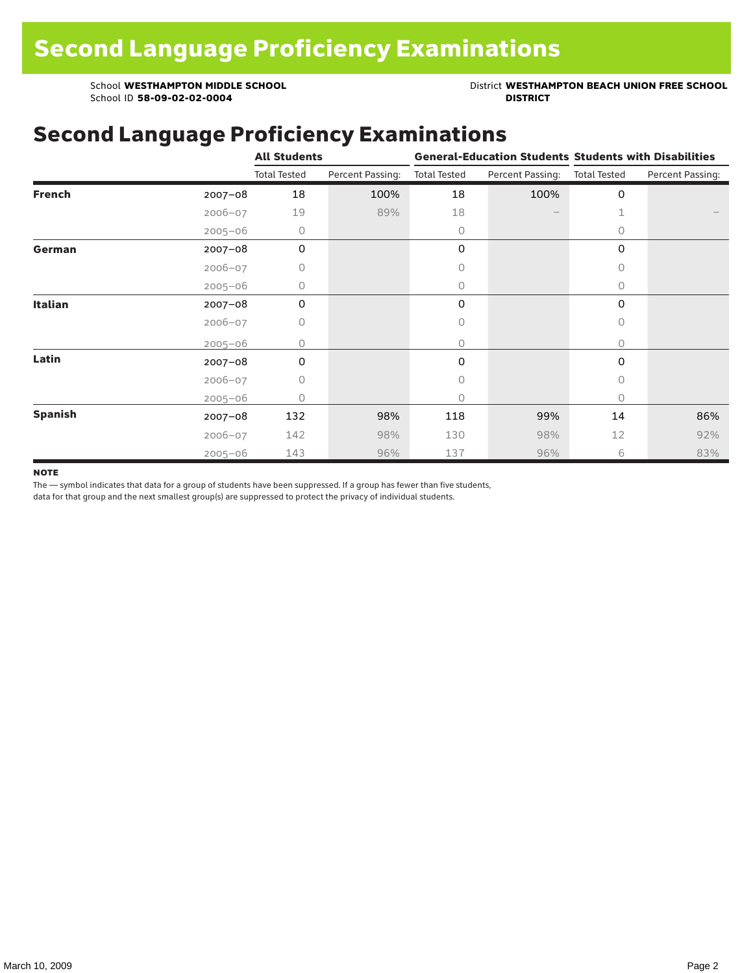School ID 58-09-02-02-0004

School **WESTHAMPTON MIDDLE SCHOOL**<br>School ID 58-09-02-020404<br>**DISTRICT** DISTRICT

### Second Language Proficiency Examinations

|                |             | <b>All Students</b> |                  |                     |                  | <b>General-Education Students Students with Disabilities</b> |                  |  |
|----------------|-------------|---------------------|------------------|---------------------|------------------|--------------------------------------------------------------|------------------|--|
|                |             | <b>Total Tested</b> | Percent Passing: | <b>Total Tested</b> | Percent Passing: | <b>Total Tested</b>                                          | Percent Passing: |  |
| <b>French</b>  | $2007 - 08$ | 18                  | 100%             | 18                  | 100%             | 0                                                            |                  |  |
|                | $2006 - 07$ | 19                  | 89%              | 18                  |                  | 1                                                            |                  |  |
|                | $2005 - 06$ | 0                   |                  | $\circ$             |                  | 0                                                            |                  |  |
| German         | 2007-08     | 0                   |                  | 0                   |                  | 0                                                            |                  |  |
|                | $2006 - 07$ | 0                   |                  | $\circ$             |                  | 0                                                            |                  |  |
|                | $2005 - 06$ | 0                   |                  | $\circ$             |                  | $\circ$                                                      |                  |  |
| <b>Italian</b> | 2007-08     | 0                   |                  | 0                   |                  | $\mathbf 0$                                                  |                  |  |
|                | $2006 - 07$ | 0                   |                  | 0                   |                  | 0                                                            |                  |  |
|                | $2005 - 06$ | 0                   |                  | $\circ$             |                  | 0                                                            |                  |  |
| Latin          | $2007 - 08$ | 0                   |                  | 0                   |                  | 0                                                            |                  |  |
|                | $2006 - 07$ | 0                   |                  | 0                   |                  | 0                                                            |                  |  |
|                | $2005 - 06$ | 0                   |                  | $\circ$             |                  | 0                                                            |                  |  |
| <b>Spanish</b> | $2007 - 08$ | 132                 | 98%              | 118                 | 99%              | 14                                                           | 86%              |  |
|                | $2006 - 07$ | 142                 | 98%              | 130                 | 98%              | 12                                                           | 92%              |  |
|                | $2005 - 06$ | 143                 | 96%              | 137                 | 96%              | 6                                                            | 83%              |  |

#### **NOTE**

The — symbol indicates that data for a group of students have been suppressed. If a group has fewer than five students,

data for that group and the next smallest group(s) are suppressed to protect the privacy of individual students.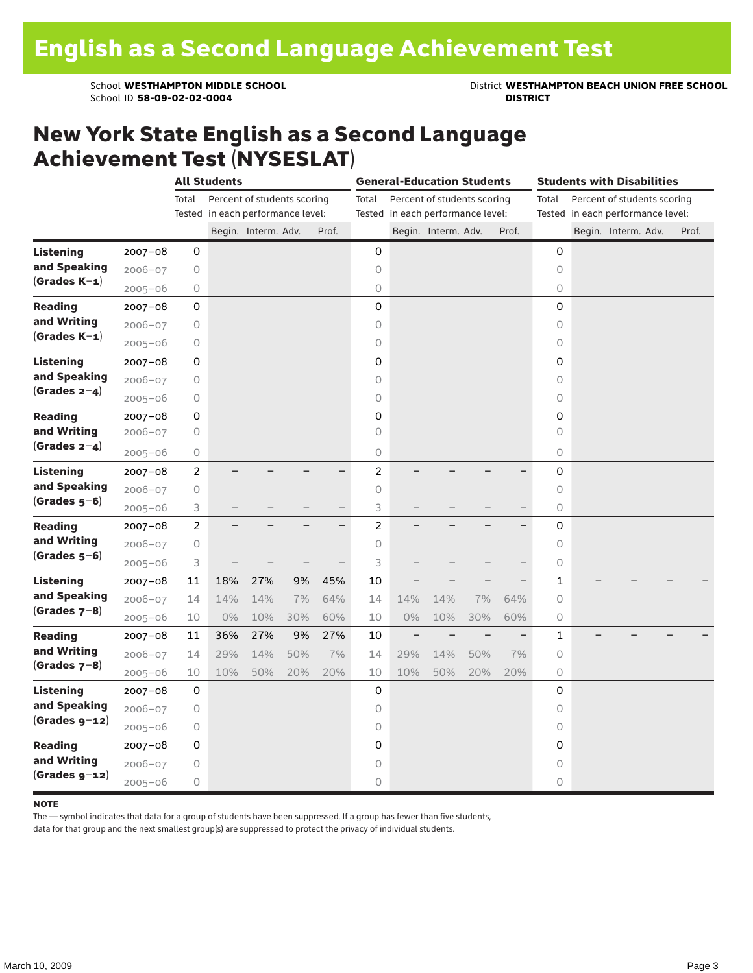School ID 58-09-02-02-0004

School **WESTHAMPTON MIDDLE SCHOOL**<br>School ID 58-09-02-020404<br>**DISTRICT** DISTRICT

#### New York State English as a Second Language Achievement Test (NYSESLAT)

|                                  |             | <b>All Students</b> |                                   |                             |     | <b>General-Education Students</b> |                                   |       |                             |     | <b>Students with Disabilities</b> |              |  |                             |  |       |
|----------------------------------|-------------|---------------------|-----------------------------------|-----------------------------|-----|-----------------------------------|-----------------------------------|-------|-----------------------------|-----|-----------------------------------|--------------|--|-----------------------------|--|-------|
|                                  |             | Total               |                                   | Percent of students scoring |     |                                   | Total                             |       | Percent of students scoring |     |                                   | Total        |  | Percent of students scoring |  |       |
|                                  |             |                     | Tested in each performance level: |                             |     |                                   | Tested in each performance level: |       |                             |     | Tested in each performance level: |              |  |                             |  |       |
|                                  |             |                     |                                   | Begin. Interm. Adv.         |     | Prof.                             |                                   |       | Begin. Interm. Adv.         |     | Prof.                             |              |  | Begin. Interm. Adv.         |  | Prof. |
| <b>Listening</b>                 | $2007 - 08$ | 0                   |                                   |                             |     |                                   | 0                                 |       |                             |     |                                   | 0            |  |                             |  |       |
| and Speaking                     | $2006 - 07$ | 0                   |                                   |                             |     |                                   | $\circ$                           |       |                             |     |                                   | $\circ$      |  |                             |  |       |
| $(Grades K-1)$                   | $2005 - 06$ | $\bigcirc$          |                                   |                             |     |                                   | $\circ$                           |       |                             |     |                                   | 0            |  |                             |  |       |
| <b>Reading</b>                   | $2007 - 08$ | 0                   |                                   |                             |     |                                   | $\mathsf 0$                       |       |                             |     |                                   | $\mathsf 0$  |  |                             |  |       |
| and Writing                      | $2006 - 07$ | 0                   |                                   |                             |     |                                   | $\circ$                           |       |                             |     |                                   | 0            |  |                             |  |       |
| $(Grades K-1)$                   | $2005 - 06$ | $\bigcirc$          |                                   |                             |     |                                   | $\circ$                           |       |                             |     |                                   | 0            |  |                             |  |       |
| <b>Listening</b>                 | $2007 - 08$ | 0                   |                                   |                             |     |                                   | $\mathbf 0$                       |       |                             |     |                                   | $\mathbf 0$  |  |                             |  |       |
| and Speaking                     | $2006 - 07$ | $\mathsf O$         |                                   |                             |     |                                   | $\circ$                           |       |                             |     |                                   | $\circ$      |  |                             |  |       |
| (Grades $2-4$ )                  | $2005 - 06$ | $\circ$             |                                   |                             |     |                                   | $\circ$                           |       |                             |     |                                   | 0            |  |                             |  |       |
| <b>Reading</b>                   | $2007 - 08$ | 0                   |                                   |                             |     |                                   | 0                                 |       |                             |     |                                   | 0            |  |                             |  |       |
| and Writing<br>(Grades $2-4$ )   | $2006 - 07$ | 0                   |                                   |                             |     |                                   | 0                                 |       |                             |     |                                   | 0            |  |                             |  |       |
|                                  | $2005 - 06$ | 0                   |                                   |                             |     |                                   | $\circ$                           |       |                             |     |                                   | 0            |  |                             |  |       |
| <b>Listening</b><br>and Speaking | $2007 - 08$ | $\overline{c}$      |                                   |                             |     |                                   | $\overline{c}$                    |       |                             |     |                                   | 0            |  |                             |  |       |
|                                  | $2006 - 07$ | 0                   |                                   |                             |     |                                   | $\circ$                           |       |                             |     |                                   | 0            |  |                             |  |       |
| $(Grades 5-6)$                   | $2005 - 06$ | 3                   |                                   |                             |     |                                   | 3                                 |       |                             |     |                                   | 0            |  |                             |  |       |
| <b>Reading</b>                   | $2007 - 08$ | $\overline{2}$      |                                   |                             |     | $\overline{\phantom{0}}$          | $\overline{c}$                    |       |                             |     |                                   | 0            |  |                             |  |       |
| and Writing                      | $2006 - 07$ | $\mathsf O$         |                                   |                             |     |                                   | $\circ$                           |       |                             |     |                                   | $\circ$      |  |                             |  |       |
| $(Grades 5-6)$                   | $2005 - 06$ | 3                   |                                   |                             |     |                                   | 3                                 |       |                             |     |                                   | 0            |  |                             |  |       |
| <b>Listening</b>                 | $2007 - 08$ | 11                  | 18%                               | 27%                         | 9%  | 45%                               | 10                                |       |                             |     |                                   | $\mathbf{1}$ |  |                             |  |       |
| and Speaking                     | $2006 - 07$ | 14                  | 14%                               | 14%                         | 7%  | 64%                               | 14                                | 14%   | 14%                         | 7%  | 64%                               | $\circ$      |  |                             |  |       |
| $(Grades 7-8)$                   | $2005 - 06$ | 10                  | 0%                                | 10%                         | 30% | 60%                               | 10                                | $0\%$ | 10%                         | 30% | 60%                               | 0            |  |                             |  |       |
| <b>Reading</b>                   | $2007 - 08$ | 11                  | 36%                               | 27%                         | 9%  | 27%                               | 10                                |       |                             |     |                                   | 1            |  |                             |  |       |
| and Writing                      | $2006 - 07$ | 14                  | 29%                               | 14%                         | 50% | 7%                                | 14                                | 29%   | 14%                         | 50% | 7%                                | $\circ$      |  |                             |  |       |
| $(Grades 7-8)$                   | $2005 - 06$ | 10                  | 10%                               | 50%                         | 20% | 20%                               | 10                                | 10%   | 50%                         | 20% | 20%                               | 0            |  |                             |  |       |
| <b>Listening</b>                 | $2007 - 08$ | 0                   |                                   |                             |     |                                   | 0                                 |       |                             |     |                                   | 0            |  |                             |  |       |
| and Speaking                     | $2006 - 07$ | 0                   |                                   |                             |     |                                   | 0                                 |       |                             |     |                                   | 0            |  |                             |  |       |
| $(Grades g-12)$                  | $2005 - 06$ | 0                   |                                   |                             |     |                                   | $\mathsf O$                       |       |                             |     |                                   | 0            |  |                             |  |       |
| <b>Reading</b>                   | $2007 - 08$ | 0                   |                                   |                             |     |                                   | 0                                 |       |                             |     |                                   | $\mathbf 0$  |  |                             |  |       |
| and Writing                      | $2006 - 07$ | 0                   |                                   |                             |     |                                   | $\circ$                           |       |                             |     |                                   | $\circ$      |  |                             |  |       |
| $(Grades g-12)$                  | $2005 - 06$ | 0                   |                                   |                             |     |                                   | $\circ$                           |       |                             |     |                                   | 0            |  |                             |  |       |

#### **NOTE**

The — symbol indicates that data for a group of students have been suppressed. If a group has fewer than five students,

data for that group and the next smallest group(s) are suppressed to protect the privacy of individual students.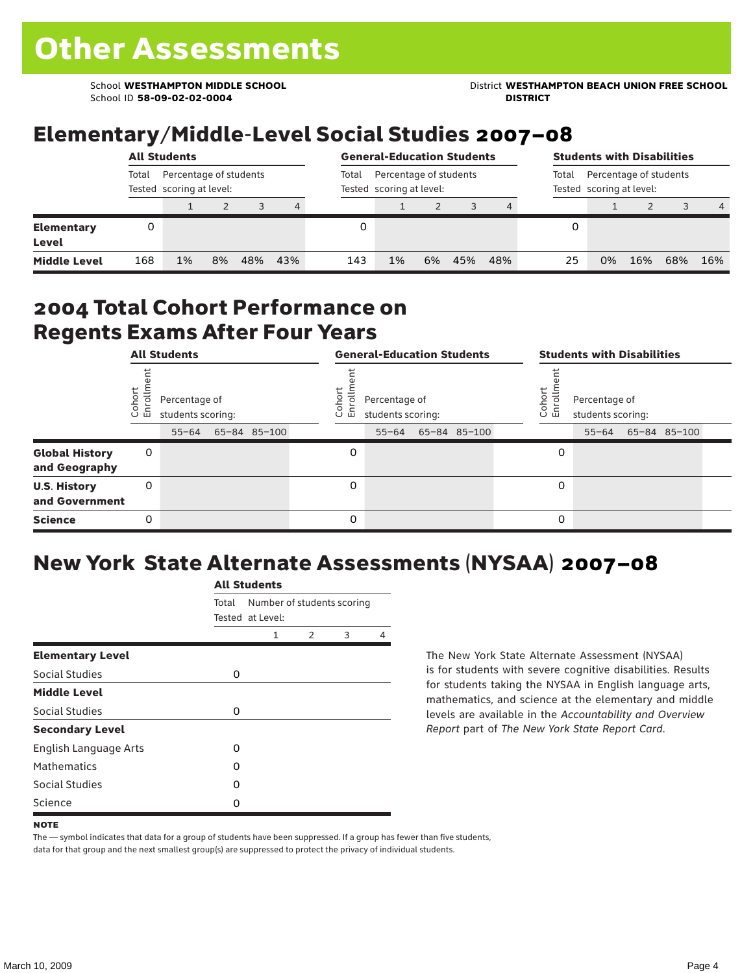School ID **58-09-02-02-0004 DISTRICT**

School **WESTHAMPTON MIDDLE SCHOOL** District **WESTHAMPTON BEACH UNION FREE SCHOOL**

## Elementary/Middle-Level Social Studies 2007–08

|                            | <b>All Students</b><br>Percentage of students<br>Total<br>Tested scoring at level: |    |    |     |     |       | <b>General-Education Students</b>                  |    |     |     |    |                                                             | <b>Students with Disabilities</b> |     |                |  |  |  |
|----------------------------|------------------------------------------------------------------------------------|----|----|-----|-----|-------|----------------------------------------------------|----|-----|-----|----|-------------------------------------------------------------|-----------------------------------|-----|----------------|--|--|--|
|                            |                                                                                    |    |    |     |     | Total | Percentage of students<br>Tested scoring at level: |    |     |     |    | Percentage of students<br>Total<br>Tested scoring at level: |                                   |     |                |  |  |  |
|                            |                                                                                    |    |    | 3   | 4   |       |                                                    |    |     |     |    |                                                             |                                   |     | $\overline{4}$ |  |  |  |
| Elementary<br><b>Level</b> |                                                                                    |    |    |     |     |       |                                                    |    |     |     |    |                                                             |                                   |     |                |  |  |  |
| <b>Middle Level</b>        | 168                                                                                | 1% | 8% | 48% | 43% | 143   | 1%                                                 | 6% | 45% | 48% | 25 | 0%                                                          | 16%                               | 68% | 16%            |  |  |  |

#### 2004 Total Cohort Performance on Regents Exams After Four Years

|                                        | <b>All Students</b>                                                |  |  |              |                                                                                         | <b>General-Education Students</b> |  |  |  |  |                                                                               | <b>Students with Disabilities</b> |  |  |  |  |
|----------------------------------------|--------------------------------------------------------------------|--|--|--------------|-----------------------------------------------------------------------------------------|-----------------------------------|--|--|--|--|-------------------------------------------------------------------------------|-----------------------------------|--|--|--|--|
|                                        | Cohor<br>Enroll<br>Percentage of<br>students scoring:<br>$55 - 64$ |  |  |              | Coho<br>Percentage of<br>$\circ$<br>ᇛ<br>students scoring:<br>65-84 85-100<br>$55 - 64$ |                                   |  |  |  |  | Cohort<br>Percentage of<br>o,<br>문<br>students scoring:<br>55-64 65-84 85-100 |                                   |  |  |  |  |
|                                        |                                                                    |  |  | 65-84 85-100 |                                                                                         |                                   |  |  |  |  |                                                                               |                                   |  |  |  |  |
| <b>Global History</b><br>and Geography | 0                                                                  |  |  |              |                                                                                         | 0                                 |  |  |  |  | 0                                                                             |                                   |  |  |  |  |
| <b>U.S. History</b><br>and Government  | 0                                                                  |  |  |              |                                                                                         | $\Omega$                          |  |  |  |  | 0                                                                             |                                   |  |  |  |  |
| <b>Science</b>                         | 0                                                                  |  |  |              |                                                                                         | 0                                 |  |  |  |  | 0                                                                             |                                   |  |  |  |  |

# New York State Alternate Assessments (NYSAA) 2007–08

|                         | <b>All Students</b> |                                                |               |   |   |  |  |  |  |  |  |
|-------------------------|---------------------|------------------------------------------------|---------------|---|---|--|--|--|--|--|--|
|                         | Total               | Number of students scoring<br>Tested at Level: |               |   |   |  |  |  |  |  |  |
|                         |                     | 1                                              | $\mathcal{P}$ | 3 | 4 |  |  |  |  |  |  |
| <b>Elementary Level</b> |                     |                                                |               |   |   |  |  |  |  |  |  |
| Social Studies          | 0                   |                                                |               |   |   |  |  |  |  |  |  |
| <b>Middle Level</b>     |                     |                                                |               |   |   |  |  |  |  |  |  |
| Social Studies          | 0                   |                                                |               |   |   |  |  |  |  |  |  |
| <b>Secondary Level</b>  |                     |                                                |               |   |   |  |  |  |  |  |  |
| English Language Arts   | O                   |                                                |               |   |   |  |  |  |  |  |  |
| <b>Mathematics</b>      | O                   |                                                |               |   |   |  |  |  |  |  |  |
| Social Studies          | O                   |                                                |               |   |   |  |  |  |  |  |  |
| Science                 | O                   |                                                |               |   |   |  |  |  |  |  |  |

The New York State Alternate Assessment (NYSAA) is for students with severe cognitive disabilities. Results for students taking the NYSAA in English language arts, mathematics, and science at the elementary and middle levels are available in the *Accountability and Overview Report* part of *The New York State Report Card*.

The — symbol indicates that data for a group of students have been suppressed. If a group has fewer than five students, data for that group and the next smallest group(s) are suppressed to protect the privacy of individual students.

**NOTE**